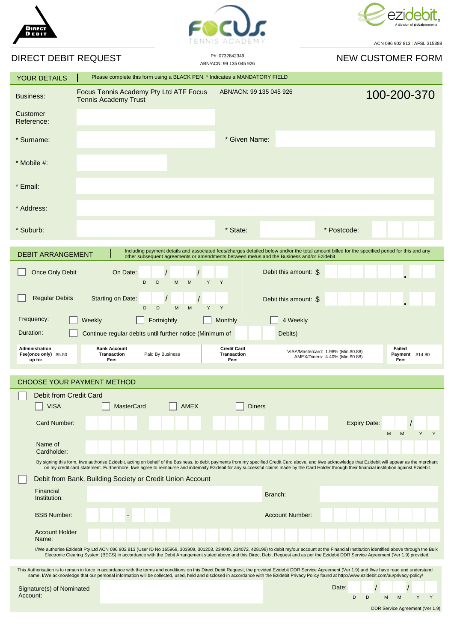





## $\overline{P}$

ACN 096 902 813 AFSL 315388

| DIRECT DEBIT REQUEST                                                                                                                                                                                                                                                                                                                                                                                              |                                                                                                                                                                                                                                                                                                                                                                                                            | Ph: 0732842349<br>ABN/ACN: 99 135 045 926        | <b>NEW CUSTOMER FORM</b>                                                                                    |
|-------------------------------------------------------------------------------------------------------------------------------------------------------------------------------------------------------------------------------------------------------------------------------------------------------------------------------------------------------------------------------------------------------------------|------------------------------------------------------------------------------------------------------------------------------------------------------------------------------------------------------------------------------------------------------------------------------------------------------------------------------------------------------------------------------------------------------------|--------------------------------------------------|-------------------------------------------------------------------------------------------------------------|
| <b>YOUR DETAILS</b>                                                                                                                                                                                                                                                                                                                                                                                               | Please complete this form using a BLACK PEN. * Indicates a MANDATORY FIELD                                                                                                                                                                                                                                                                                                                                 |                                                  |                                                                                                             |
| <b>Business:</b>                                                                                                                                                                                                                                                                                                                                                                                                  | Focus Tennis Academy Pty Ltd ATF Focus<br><b>Tennis Academy Trust</b>                                                                                                                                                                                                                                                                                                                                      | ABN/ACN: 99 135 045 926                          | 100-200-370                                                                                                 |
| Customer<br>Reference:                                                                                                                                                                                                                                                                                                                                                                                            |                                                                                                                                                                                                                                                                                                                                                                                                            |                                                  |                                                                                                             |
| * Surname:                                                                                                                                                                                                                                                                                                                                                                                                        |                                                                                                                                                                                                                                                                                                                                                                                                            | * Given Name:                                    |                                                                                                             |
| $*$ Mobile #:                                                                                                                                                                                                                                                                                                                                                                                                     |                                                                                                                                                                                                                                                                                                                                                                                                            |                                                  |                                                                                                             |
| * Email:                                                                                                                                                                                                                                                                                                                                                                                                          |                                                                                                                                                                                                                                                                                                                                                                                                            |                                                  |                                                                                                             |
| * Address:                                                                                                                                                                                                                                                                                                                                                                                                        |                                                                                                                                                                                                                                                                                                                                                                                                            |                                                  |                                                                                                             |
| * Suburb:                                                                                                                                                                                                                                                                                                                                                                                                         |                                                                                                                                                                                                                                                                                                                                                                                                            | * State:                                         | * Postcode:                                                                                                 |
| Including payment details and associated fees/charges detailed below and/or the total amount billed for the specified period for this and any<br><b>DEBIT ARRANGEMENT</b><br>other subsequent agreements or amendments between me/us and the Business and/or Ezidebit                                                                                                                                             |                                                                                                                                                                                                                                                                                                                                                                                                            |                                                  |                                                                                                             |
| Once Only Debit                                                                                                                                                                                                                                                                                                                                                                                                   | On Date:<br>D<br>D<br>M<br>M                                                                                                                                                                                                                                                                                                                                                                               | Debit this amount: \$<br>Y<br>Y                  |                                                                                                             |
| <b>Regular Debits</b>                                                                                                                                                                                                                                                                                                                                                                                             | <b>Starting on Date:</b><br>D<br>D<br>M<br>M                                                                                                                                                                                                                                                                                                                                                               | Debit this amount: \$<br>Y<br>Y                  |                                                                                                             |
| Frequency:                                                                                                                                                                                                                                                                                                                                                                                                        | Fortnightly<br>Weekly                                                                                                                                                                                                                                                                                                                                                                                      | 4 Weekly<br>Monthly                              |                                                                                                             |
| Duration:                                                                                                                                                                                                                                                                                                                                                                                                         | Continue regular debits until further notice (Minimum of                                                                                                                                                                                                                                                                                                                                                   | Debits)                                          |                                                                                                             |
| Administration<br>Fee(once only) \$5.50<br>up to:                                                                                                                                                                                                                                                                                                                                                                 | <b>Bank Account</b><br><b>Transaction</b><br>Paid By Business<br>Fee:                                                                                                                                                                                                                                                                                                                                      | <b>Credit Card</b><br><b>Transaction</b><br>Fee: | Failed<br>VISA/Mastercard: 1.98% (Min \$0.88)<br>Payment \$14.80<br>AMEX/Diners: 4.40% (Min \$0.88)<br>Fee: |
| <b>CHOOSE YOUR PAYMENT METHOD</b>                                                                                                                                                                                                                                                                                                                                                                                 |                                                                                                                                                                                                                                                                                                                                                                                                            |                                                  |                                                                                                             |
| Debit from Credit Card                                                                                                                                                                                                                                                                                                                                                                                            |                                                                                                                                                                                                                                                                                                                                                                                                            |                                                  |                                                                                                             |
| <b>VISA</b>                                                                                                                                                                                                                                                                                                                                                                                                       | <b>MasterCard</b><br>AMEX                                                                                                                                                                                                                                                                                                                                                                                  | Diners                                           |                                                                                                             |
| Card Number:                                                                                                                                                                                                                                                                                                                                                                                                      |                                                                                                                                                                                                                                                                                                                                                                                                            |                                                  | <b>Expiry Date:</b><br>M<br>Y<br>Y<br>M                                                                     |
| Name of<br>Cardholder:                                                                                                                                                                                                                                                                                                                                                                                            |                                                                                                                                                                                                                                                                                                                                                                                                            |                                                  |                                                                                                             |
|                                                                                                                                                                                                                                                                                                                                                                                                                   | By signing this form, I/we authorise Ezidebit, acting on behalf of the Business, to debit payments from my specified Credit Card above, and I/we acknowledge that Ezidebit will appear as the merchant<br>on my credit card statement. Furthermore, I/we agree to reimburse and indemnify Ezidebit for any successful claims made by the Card Holder through their financial institution against Ezidebit. |                                                  |                                                                                                             |
|                                                                                                                                                                                                                                                                                                                                                                                                                   | Debit from Bank, Building Society or Credit Union Account                                                                                                                                                                                                                                                                                                                                                  |                                                  |                                                                                                             |
| Financial<br>Institution:                                                                                                                                                                                                                                                                                                                                                                                         |                                                                                                                                                                                                                                                                                                                                                                                                            | Branch:                                          |                                                                                                             |
| <b>BSB Number:</b>                                                                                                                                                                                                                                                                                                                                                                                                |                                                                                                                                                                                                                                                                                                                                                                                                            | <b>Account Number:</b>                           |                                                                                                             |
| <b>Account Holder</b><br>Name:                                                                                                                                                                                                                                                                                                                                                                                    |                                                                                                                                                                                                                                                                                                                                                                                                            |                                                  |                                                                                                             |
| I/We authorise Ezidebit Pty Ltd ACN 096 902 813 (User ID No 165969, 303909, 301203, 234040, 234072, 428198) to debit my/our account at the Financial Institution identified above through the Bulk<br>Electronic Clearing System (BECS) in accordance with the Debit Arrangement stated above and this Direct Debit Request and as per the Ezidebit DDR Service Agreement (Ver 1.9) provided.                     |                                                                                                                                                                                                                                                                                                                                                                                                            |                                                  |                                                                                                             |
| This Authorisation is to remain in force in accordance with the terms and conditions on this Direct Debit Request, the provided Ezidebit DDR Service Agreement (Ver 1.9) and I/we have read and understand<br>same. I/We acknowledge that our personal information will be collected, used, held and disclosed in accordance with the Ezidebit Privacy Policy found at http://www.ezidebit.com/au/privacy-policy/ |                                                                                                                                                                                                                                                                                                                                                                                                            |                                                  |                                                                                                             |
| Signature(s) of Nominated<br>Account:                                                                                                                                                                                                                                                                                                                                                                             |                                                                                                                                                                                                                                                                                                                                                                                                            |                                                  | Date:<br>D<br>Y<br>Y<br>D<br>M<br>M                                                                         |